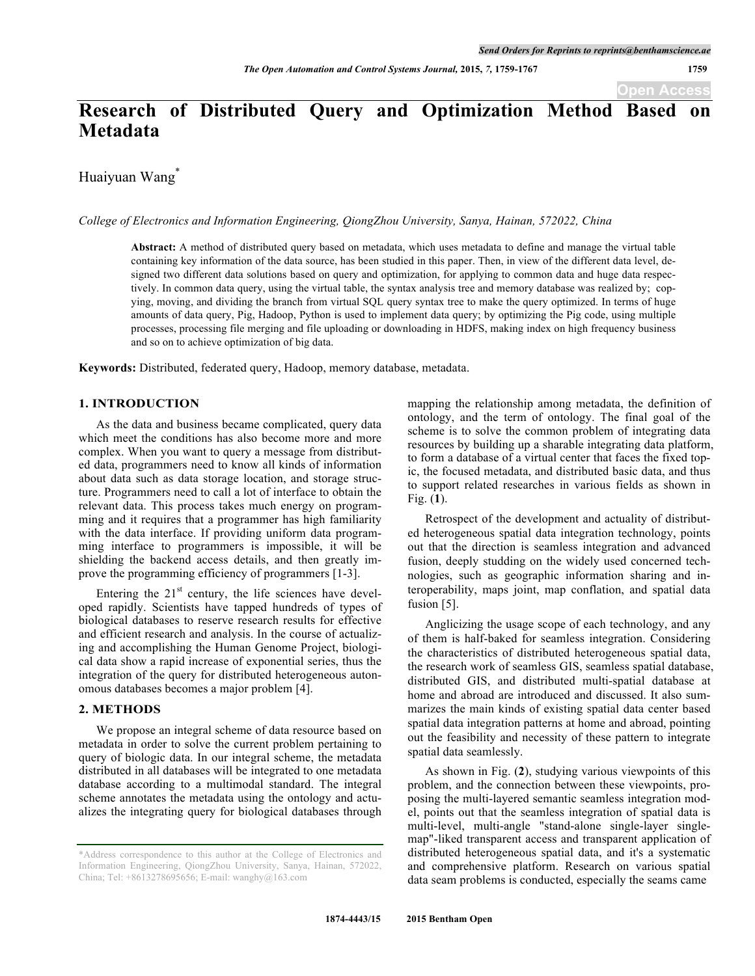# **Research of Distributed Query and Optimization Method Based Metadata**

Huaiyuan Wang<sup>\*</sup>

*College of Electronics and Information Engineering, QiongZhou University, Sanya, Hainan, 572022, China*

**Abstract:** A method of distributed query based on metadata, which uses metadata to define and manage the virtual table containing key information of the data source, has been studied in this paper. Then, in view of the different data level, designed two different data solutions based on query and optimization, for applying to common data and huge data respectively. In common data query, using the virtual table, the syntax analysis tree and memory database was realized by; copying, moving, and dividing the branch from virtual SQL query syntax tree to make the query optimized. In terms of huge amounts of data query, Pig, Hadoop, Python is used to implement data query; by optimizing the Pig code, using multiple processes, processing file merging and file uploading or downloading in HDFS, making index on high frequency business and so on to achieve optimization of big data.

**Keywords:** Distributed, federated query, Hadoop, memory database, metadata.

#### **1. INTRODUCTION**

As the data and business became complicated, query data which meet the conditions has also become more and more complex. When you want to query a message from distributed data, programmers need to know all kinds of information about data such as data storage location, and storage structure. Programmers need to call a lot of interface to obtain the relevant data. This process takes much energy on programming and it requires that a programmer has high familiarity with the data interface. If providing uniform data programming interface to programmers is impossible, it will be shielding the backend access details, and then greatly improve the programming efficiency of programmers [1-3].

Entering the  $21<sup>st</sup>$  century, the life sciences have developed rapidly. Scientists have tapped hundreds of types of biological databases to reserve research results for effective and efficient research and analysis. In the course of actualizing and accomplishing the Human Genome Project, biological data show a rapid increase of exponential series, thus the integration of the query for distributed heterogeneous autonomous databases becomes a major problem [4].

#### **2. METHODS**

We propose an integral scheme of data resource based on metadata in order to solve the current problem pertaining to query of biologic data. In our integral scheme, the metadata distributed in all databases will be integrated to one metadata database according to a multimodal standard. The integral scheme annotates the metadata using the ontology and actualizes the integrating query for biological databases through mapping the relationship among metadata, the definition of ontology, and the term of ontology. The final goal of the scheme is to solve the common problem of integrating data resources by building up a sharable integrating data platform, to form a database of a virtual center that faces the fixed topic, the focused metadata, and distributed basic data, and thus to support related researches in various fields as shown in Fig. (**1**).

Retrospect of the development and actuality of distributed heterogeneous spatial data integration technology, points out that the direction is seamless integration and advanced fusion, deeply studding on the widely used concerned technologies, such as geographic information sharing and interoperability, maps joint, map conflation, and spatial data fusion [5].

Anglicizing the usage scope of each technology, and any of them is half-baked for seamless integration. Considering the characteristics of distributed heterogeneous spatial data, the research work of seamless GIS, seamless spatial database, distributed GIS, and distributed multi-spatial database at home and abroad are introduced and discussed. It also summarizes the main kinds of existing spatial data center based spatial data integration patterns at home and abroad, pointing out the feasibility and necessity of these pattern to integrate spatial data seamlessly.

As shown in Fig. (**2**), studying various viewpoints of this problem, and the connection between these viewpoints, proposing the multi-layered semantic seamless integration model, points out that the seamless integration of spatial data is multi-level, multi-angle "stand-alone single-layer singlemap"-liked transparent access and transparent application of distributed heterogeneous spatial data, and it's a systematic and comprehensive platform. Research on various spatial data seam problems is conducted, especially the seams came

<sup>\*</sup>Address correspondence to this author at the College of Electronics and Information Engineering, QiongZhou University, Sanya, Hainan, 572022, China; Tel: +8613278695656; E-mail: wanghy@163.com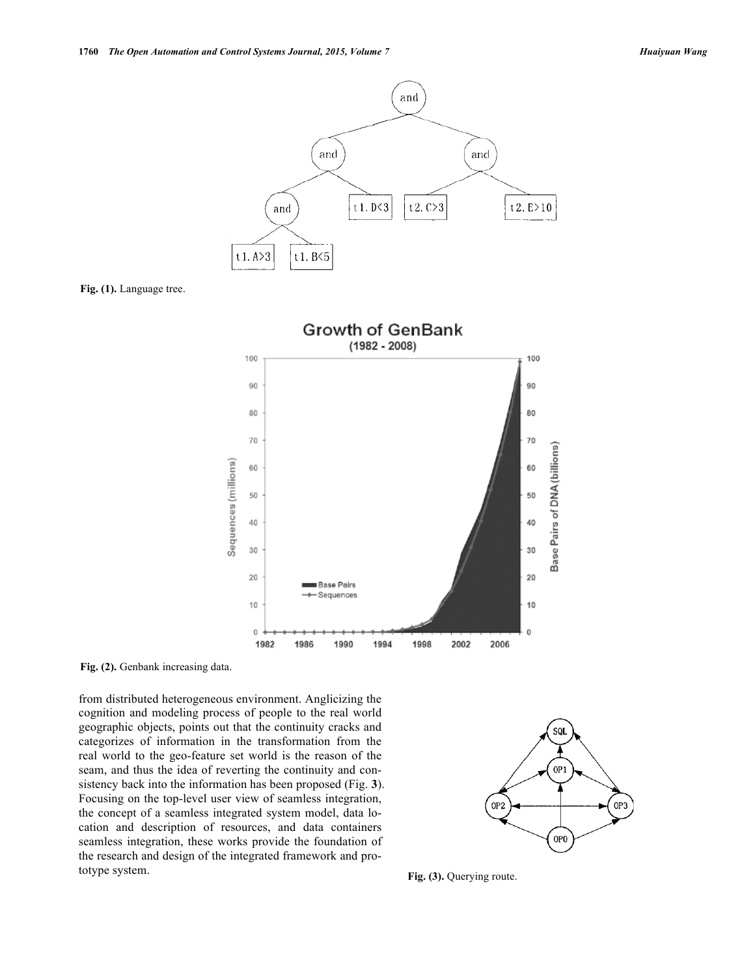

**Fig. (1).** Language tree.



Fig. (2). Genbank increasing data.

from distributed heterogeneous environment. Anglicizing the cognition and modeling process of people to the real world geographic objects, points out that the continuity cracks and categorizes of information in the transformation from the real world to the geo-feature set world is the reason of the seam, and thus the idea of reverting the continuity and consistency back into the information has been proposed (Fig. **3**). Focusing on the top-level user view of seamless integration, the concept of a seamless integrated system model, data location and description of resources, and data containers seamless integration, these works provide the foundation of the research and design of the integrated framework and prototype system. **Fig. (3).** Querying route.

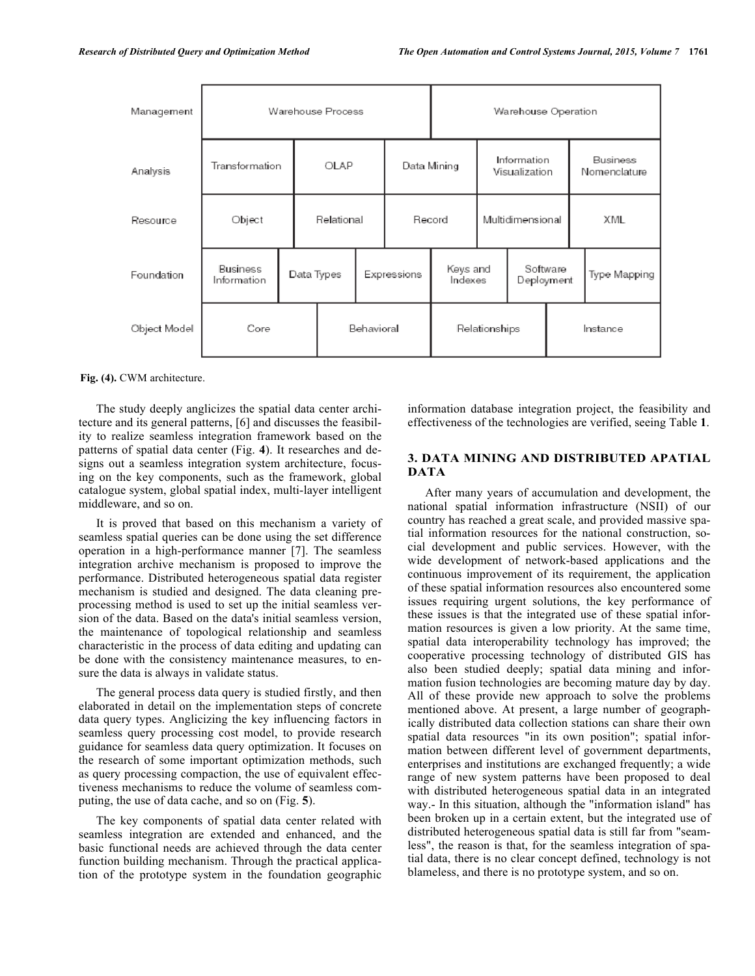| Management   | Warehouse Process              |  |            |            | Warehouse Operation |                     |                              |                        |          |                          |  |
|--------------|--------------------------------|--|------------|------------|---------------------|---------------------|------------------------------|------------------------|----------|--------------------------|--|
| Analysis     | Transformation                 |  | OLAP       |            | Data Mining         |                     | Information<br>Visualization |                        |          | Business<br>Nomenclature |  |
| Resource     | Object                         |  | Relational |            | Record              |                     | Multidimensional             |                        |          | XML                      |  |
| Foundation   | <b>Business</b><br>Information |  | Data Types |            | Expressions         | Keys and<br>Indexes |                              | Software<br>Deployment |          | Type Mapping             |  |
| Object Model | Core                           |  |            | Behavioral |                     | Relationships       |                              |                        | Instance |                          |  |

**Fig. (4).** CWM architecture.

The study deeply anglicizes the spatial data center architecture and its general patterns, [6] and discusses the feasibility to realize seamless integration framework based on the patterns of spatial data center (Fig. **4**). It researches and designs out a seamless integration system architecture, focusing on the key components, such as the framework, global catalogue system, global spatial index, multi-layer intelligent middleware, and so on.

It is proved that based on this mechanism a variety of seamless spatial queries can be done using the set difference operation in a high-performance manner [7]. The seamless integration archive mechanism is proposed to improve the performance. Distributed heterogeneous spatial data register mechanism is studied and designed. The data cleaning preprocessing method is used to set up the initial seamless version of the data. Based on the data's initial seamless version, the maintenance of topological relationship and seamless characteristic in the process of data editing and updating can be done with the consistency maintenance measures, to ensure the data is always in validate status.

The general process data query is studied firstly, and then elaborated in detail on the implementation steps of concrete data query types. Anglicizing the key influencing factors in seamless query processing cost model, to provide research guidance for seamless data query optimization. It focuses on the research of some important optimization methods, such as query processing compaction, the use of equivalent effectiveness mechanisms to reduce the volume of seamless computing, the use of data cache, and so on (Fig. **5**).

The key components of spatial data center related with seamless integration are extended and enhanced, and the basic functional needs are achieved through the data center function building mechanism. Through the practical application of the prototype system in the foundation geographic information database integration project, the feasibility and effectiveness of the technologies are verified, seeing Table **1**.

## **3. DATA MINING AND DISTRIBUTED APATIAL DATA**

After many years of accumulation and development, the national spatial information infrastructure (NSII) of our country has reached a great scale, and provided massive spatial information resources for the national construction, social development and public services. However, with the wide development of network-based applications and the continuous improvement of its requirement, the application of these spatial information resources also encountered some issues requiring urgent solutions, the key performance of these issues is that the integrated use of these spatial information resources is given a low priority. At the same time, spatial data interoperability technology has improved; the cooperative processing technology of distributed GIS has also been studied deeply; spatial data mining and information fusion technologies are becoming mature day by day. All of these provide new approach to solve the problems mentioned above. At present, a large number of geographically distributed data collection stations can share their own spatial data resources "in its own position"; spatial information between different level of government departments, enterprises and institutions are exchanged frequently; a wide range of new system patterns have been proposed to deal with distributed heterogeneous spatial data in an integrated way.- In this situation, although the "information island" has been broken up in a certain extent, but the integrated use of distributed heterogeneous spatial data is still far from "seamless", the reason is that, for the seamless integration of spatial data, there is no clear concept defined, technology is not blameless, and there is no prototype system, and so on.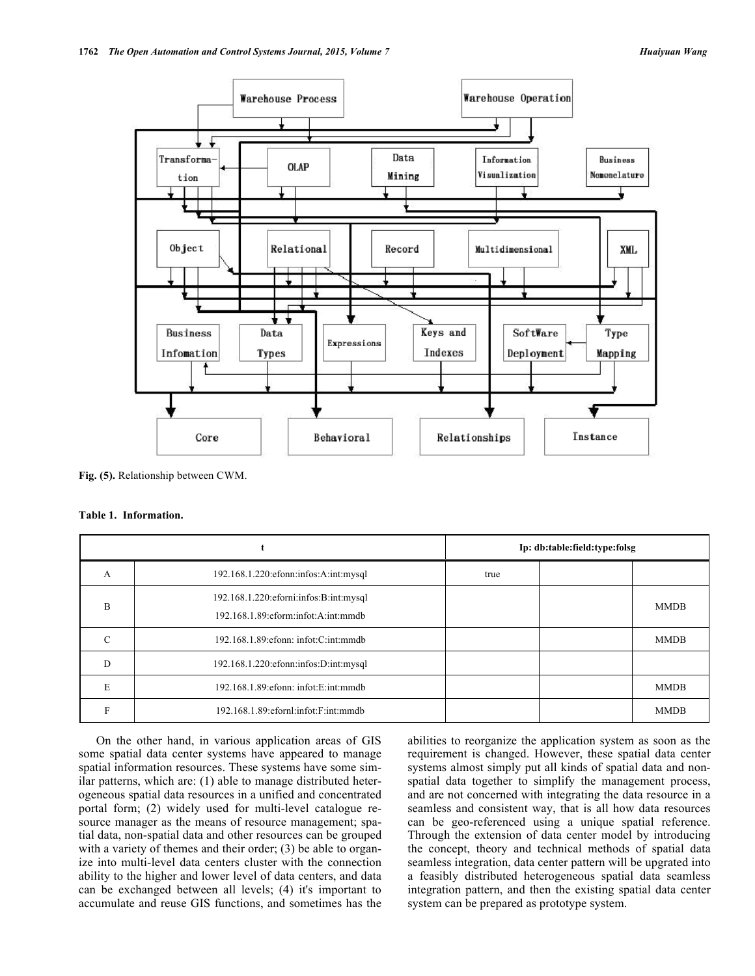

**Fig. (5).** Relationship between CWM.

#### **Table 1. Information.**

|               |                                                                                         | Ip: db:table:field:type:folsg |  |             |  |
|---------------|-----------------------------------------------------------------------------------------|-------------------------------|--|-------------|--|
| A             | 192.168.1.220:efonn:infos:A:int:mysql                                                   | true                          |  |             |  |
| B             | 192.168.1.220: eforni: infos: B: int: mysql<br>192.168.1.89: eform: infot: A: int: mmdb |                               |  | <b>MMDB</b> |  |
| $\mathcal{C}$ | 192.168.1.89: efonn: infot: C: int: mmdb                                                |                               |  | <b>MMDB</b> |  |
| D             | 192.168.1.220:efonn:infos:D:int:mysql                                                   |                               |  |             |  |
| E             | $192.168.1.89$ : efonn: infot: E: int: mmdb                                             |                               |  | <b>MMDB</b> |  |
| E             | 192.168.1.89: efornl: infot: F: int: mmdb                                               |                               |  | <b>MMDB</b> |  |

On the other hand, in various application areas of GIS some spatial data center systems have appeared to manage spatial information resources. These systems have some similar patterns, which are: (1) able to manage distributed heterogeneous spatial data resources in a unified and concentrated portal form; (2) widely used for multi-level catalogue resource manager as the means of resource management; spatial data, non-spatial data and other resources can be grouped with a variety of themes and their order; (3) be able to organize into multi-level data centers cluster with the connection ability to the higher and lower level of data centers, and data can be exchanged between all levels; (4) it's important to accumulate and reuse GIS functions, and sometimes has the abilities to reorganize the application system as soon as the requirement is changed. However, these spatial data center systems almost simply put all kinds of spatial data and nonspatial data together to simplify the management process, and are not concerned with integrating the data resource in a seamless and consistent way, that is all how data resources can be geo-referenced using a unique spatial reference. Through the extension of data center model by introducing the concept, theory and technical methods of spatial data seamless integration, data center pattern will be upgrated into a feasibly distributed heterogeneous spatial data seamless integration pattern, and then the existing spatial data center system can be prepared as prototype system.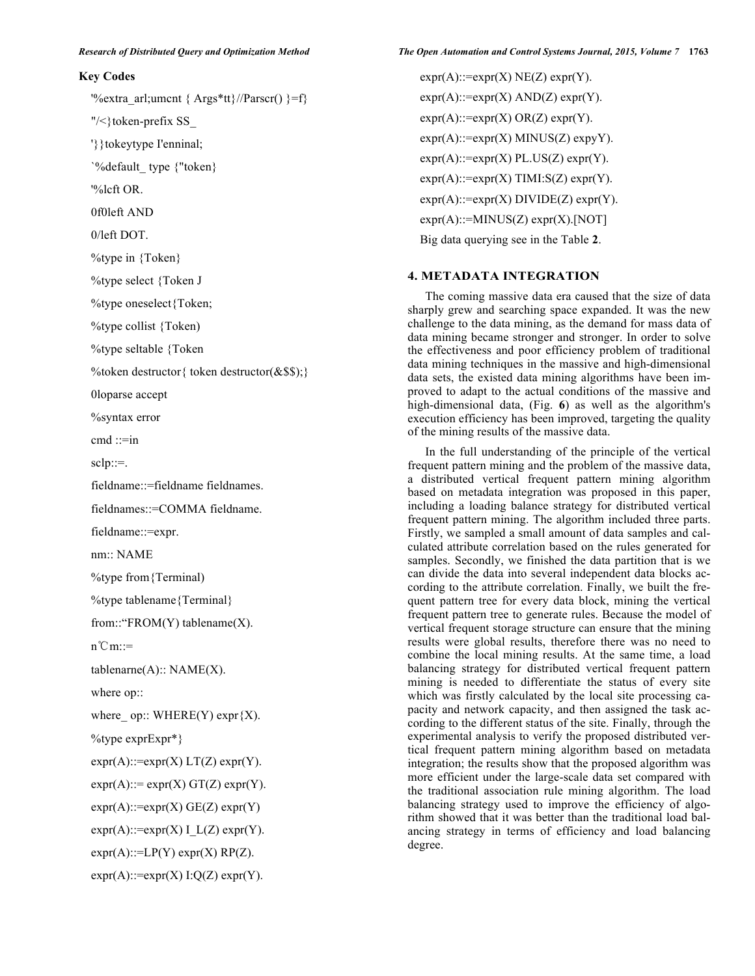### **Key Codes**

'%extra\_arl;umcnt {  $\text{Args*tt}$ }//Parscr() }=f}

"/<}token-prefix SS\_

'}}tokeytype I'enninal;

`%default\_ type {"token}

'%lcft OR.

0f0left AND

0/left DOT.

%type in {Token}

%type select {Token J

%type oneselect{Token;

%type collist {Token)

%type seltable {Token

%token destructor{ token destructor(&\$\$);}

0loparse accept

%syntax error

 $cmd ::= in$ 

 $sclp::=$ .

fieldname::=fieldname fieldnames.

fieldnames::=COMMA fieldname.

fieldname::=expr.

nm:: NAME

%type from{Terminal)

%type tablename{Terminal}

from::"FROM(Y) tablename(X).

n℃m::=

 $tablename(A): NAME(X).$ 

where op::

where \_ op:: WHERE(Y) expr  ${X}$ ).

%type exprExpr\*}

 $expr(A)$ ::=expr(X) LT(Z) expr(Y).

 $expr(A) ::= expr(X) GT(Z) expr(Y).$ 

 $expr(A)$ ::=expr(X) GE(Z) expr(Y)

 $expr(A)$ ::=expr(X) I\_L(Z) expr(Y).

 $expr(A)$ ::=LP(Y)  $expr(X)$  RP(Z).

 $expr(A)$ ::=expr(X) I:Q(Z) expr(Y).

 $expr(A)$ ::=expr(X) NE(Z) expr(Y).  $expr(A)$ ::=expr(X) AND(Z) expr(Y).  $expr(A)$ ::=expr(X) OR(Z) expr(Y).  $expr(A)$ ::= $expr(X)$  MINUS(Z)  $expyY$ ).  $expr(A)$ ::= $expr(X)$  PL.US(Z)  $expr(Y)$ .  $expr(A)$ ::=expr(X) TIMI:S(Z) expr(Y).  $expr(A)$ ::=expr(X) DIVIDE(Z) expr(Y).  $expr(A)$ ::=MINUS(Z)  $expr(X)$ .[NOT] Big data querying see in the Table **2**.

#### **4. METADATA INTEGRATION**

The coming massive data era caused that the size of data sharply grew and searching space expanded. It was the new challenge to the data mining, as the demand for mass data of data mining became stronger and stronger. In order to solve the effectiveness and poor efficiency problem of traditional data mining techniques in the massive and high-dimensional data sets, the existed data mining algorithms have been improved to adapt to the actual conditions of the massive and high-dimensional data, (Fig. **6**) as well as the algorithm's execution efficiency has been improved, targeting the quality of the mining results of the massive data.

In the full understanding of the principle of the vertical frequent pattern mining and the problem of the massive data, a distributed vertical frequent pattern mining algorithm based on metadata integration was proposed in this paper, including a loading balance strategy for distributed vertical frequent pattern mining. The algorithm included three parts. Firstly, we sampled a small amount of data samples and calculated attribute correlation based on the rules generated for samples. Secondly, we finished the data partition that is we can divide the data into several independent data blocks according to the attribute correlation. Finally, we built the frequent pattern tree for every data block, mining the vertical frequent pattern tree to generate rules. Because the model of vertical frequent storage structure can ensure that the mining results were global results, therefore there was no need to combine the local mining results. At the same time, a load balancing strategy for distributed vertical frequent pattern mining is needed to differentiate the status of every site which was firstly calculated by the local site processing capacity and network capacity, and then assigned the task according to the different status of the site. Finally, through the experimental analysis to verify the proposed distributed vertical frequent pattern mining algorithm based on metadata integration; the results show that the proposed algorithm was more efficient under the large-scale data set compared with the traditional association rule mining algorithm. The load balancing strategy used to improve the efficiency of algorithm showed that it was better than the traditional load balancing strategy in terms of efficiency and load balancing degree.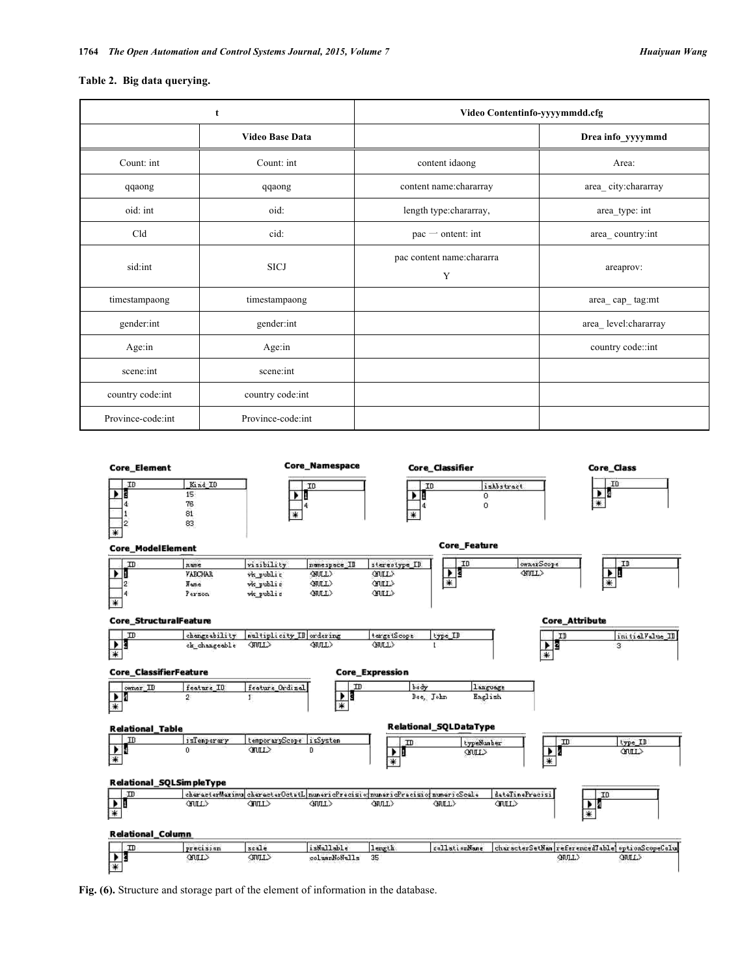#### **Table 2. Big data querying.**

|                   | t                      | Video Contentinfo-yyyymmdd.cfg  |                      |  |  |
|-------------------|------------------------|---------------------------------|----------------------|--|--|
|                   | <b>Video Base Data</b> |                                 | Drea info_yyyymmd    |  |  |
| Count: int        | Count: int             | content idaong                  | Area:                |  |  |
| qqaong            | qqaong                 | content name:chararray          | area_city:chararray  |  |  |
| oid: int          | oid:                   | length type:chararray,          | area_type: int       |  |  |
| Cld               | cid:                   | $\alpha$ - ontent: int          | area_country:int     |  |  |
| sid:int           | <b>SICJ</b>            | pac content name: chararra<br>Y | areaprov:            |  |  |
| timestampaong     | timestampaong          |                                 | area_cap_tag:mt      |  |  |
| gender:int        | gender:int             |                                 | area_level:chararray |  |  |
| Age:in            | Age:in                 |                                 | country code::int    |  |  |
| scene:int         | scene:int              |                                 |                      |  |  |
| country code:int  | country code:int       |                                 |                      |  |  |
| Province-code:int | Province-code:int      |                                 |                      |  |  |



**Fig. (6).** Structure and storage part of the element of information in the database.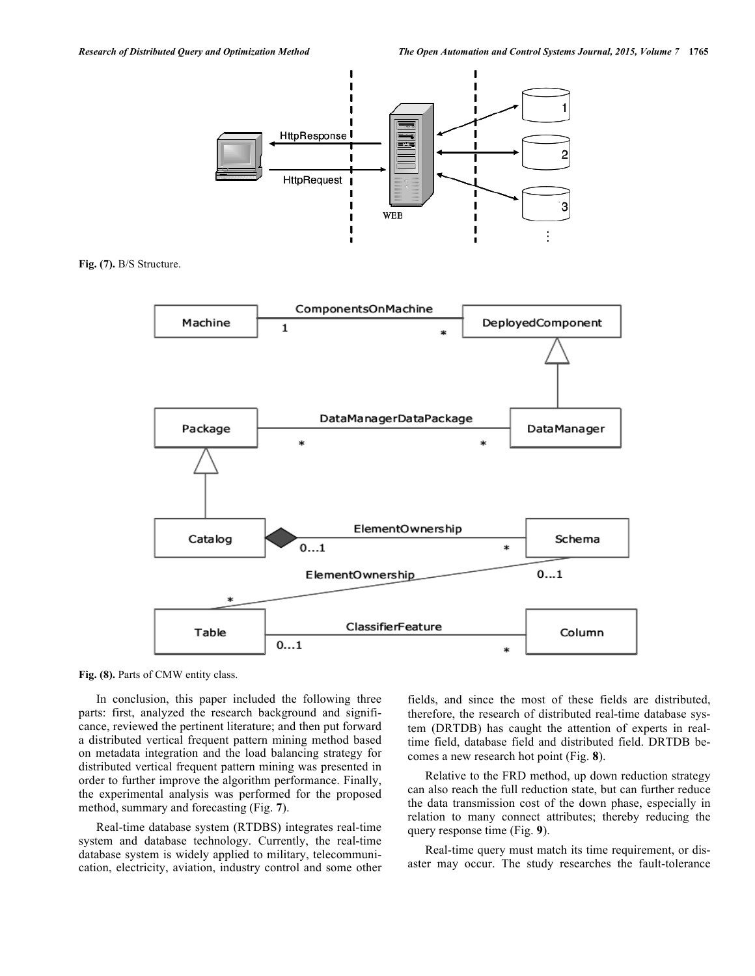

**Fig. (7).** B/S Structure.



Fig. (8). Parts of CMW entity class.

In conclusion, this paper included the following three parts: first, analyzed the research background and significance, reviewed the pertinent literature; and then put forward a distributed vertical frequent pattern mining method based on metadata integration and the load balancing strategy for distributed vertical frequent pattern mining was presented in order to further improve the algorithm performance. Finally, the experimental analysis was performed for the proposed method, summary and forecasting (Fig. **7**).

Real-time database system (RTDBS) integrates real-time system and database technology. Currently, the real-time database system is widely applied to military, telecommunication, electricity, aviation, industry control and some other fields, and since the most of these fields are distributed, therefore, the research of distributed real-time database system (DRTDB) has caught the attention of experts in realtime field, database field and distributed field. DRTDB becomes a new research hot point (Fig. **8**).

Relative to the FRD method, up down reduction strategy can also reach the full reduction state, but can further reduce the data transmission cost of the down phase, especially in relation to many connect attributes; thereby reducing the query response time (Fig. **9**).

Real-time query must match its time requirement, or disaster may occur. The study researches the fault-tolerance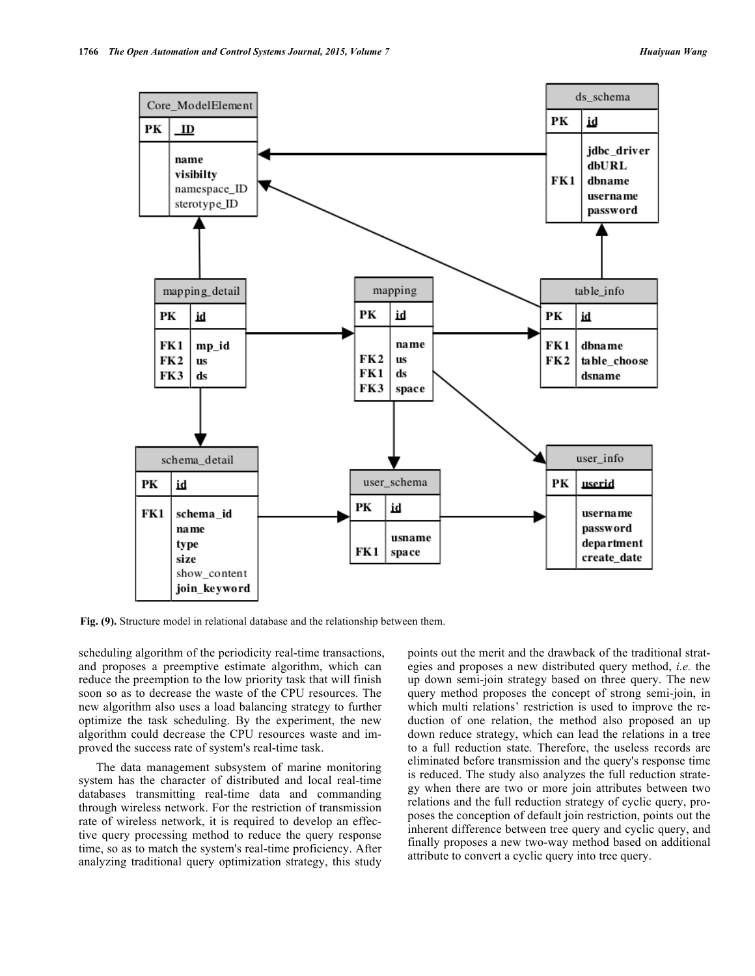

**Fig. (9).** Structure model in relational database and the relationship between them.

scheduling algorithm of the periodicity real-time transactions, and proposes a preemptive estimate algorithm, which can reduce the preemption to the low priority task that will finish soon so as to decrease the waste of the CPU resources. The new algorithm also uses a load balancing strategy to further optimize the task scheduling. By the experiment, the new algorithm could decrease the CPU resources waste and improved the success rate of system's real-time task.

The data management subsystem of marine monitoring system has the character of distributed and local real-time databases transmitting real-time data and commanding through wireless network. For the restriction of transmission rate of wireless network, it is required to develop an effective query processing method to reduce the query response time, so as to match the system's real-time proficiency. After analyzing traditional query optimization strategy, this study points out the merit and the drawback of the traditional strategies and proposes a new distributed query method, *i.e.* the up down semi-join strategy based on three query. The new query method proposes the concept of strong semi-join, in which multi relations' restriction is used to improve the reduction of one relation, the method also proposed an up down reduce strategy, which can lead the relations in a tree to a full reduction state. Therefore, the useless records are eliminated before transmission and the query's response time is reduced. The study also analyzes the full reduction strategy when there are two or more join attributes between two relations and the full reduction strategy of cyclic query, proposes the conception of default join restriction, points out the inherent difference between tree query and cyclic query, and finally proposes a new two-way method based on additional attribute to convert a cyclic query into tree query.